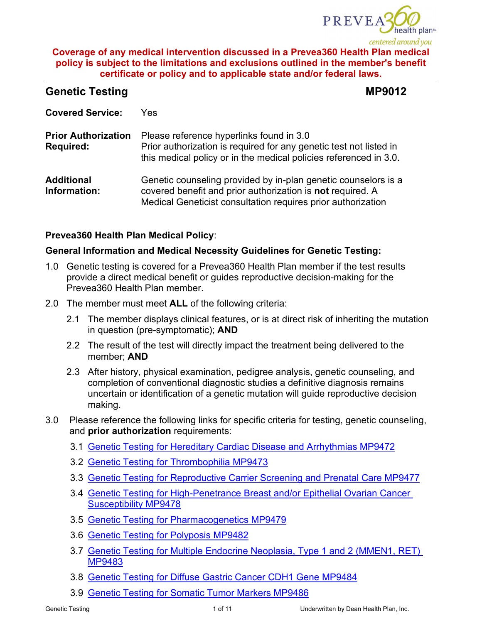

# **Genetic Testing MP9012**

| <b>Covered Service:</b>                        | Yes.                                                                                                                                                                                         |
|------------------------------------------------|----------------------------------------------------------------------------------------------------------------------------------------------------------------------------------------------|
| <b>Prior Authorization</b><br><b>Required:</b> | Please reference hyperlinks found in 3.0<br>Prior authorization is required for any genetic test not listed in<br>this medical policy or in the medical policies referenced in 3.0.          |
| <b>Additional</b><br>Information:              | Genetic counseling provided by in-plan genetic counselors is a<br>covered benefit and prior authorization is not required. A<br>Medical Geneticist consultation requires prior authorization |

# **Prevea360 Health Plan Medical Policy**:

## **General Information and Medical Necessity Guidelines for Genetic Testing:**

- 1.0 Genetic testing is covered for a Prevea360 Health Plan member if the test results provide a direct medical benefit or guides reproductive decision-making for the Prevea360 Health Plan member.
- 2.0 The member must meet **ALL** of the following criteria:
	- 2.1 The member displays clinical features, or is at direct risk of inheriting the mutation in question (pre-symptomatic); **AND**
	- 2.2 The result of the test will directly impact the treatment being delivered to the member; **AND**
	- 2.3 After history, physical examination, pedigree analysis, genetic counseling, and completion of conventional diagnostic studies a definitive diagnosis remains uncertain or identification of a genetic mutation will guide reproductive decision making.
- 3.0 Please reference the following links for specific criteria for testing, genetic counseling, and **prior authorization** requirements:
	- 3.1 [Genetic Testing for Hereditary Cardiac Disease and Arrhythmias MP9472](https://www.prevea360.com/DocumentLibrary/PDF/Medical-Policies/Genetic-Testing-for-Hereditary-Cardiac-Disease-and)
	- 3.2 [Genetic Testing for Thrombophilia MP9473](https://www.prevea360.com/DocumentLibrary/PDF/Medical-Policies/Genetic-Testing-for-Thrombophilia-9473)
	- 3.3 [Genetic Testing for Reproductive Carrier Screening and Prenatal Care MP9477](https://www.prevea360.com/DocumentLibrary/PDF/Medical-Policies/Genetic-Testing-for-Reproductive-Carrier-Screening)
	- 3.4 [Genetic Testing for High-Penetrance Breast and/or Epithelial Ovarian Cancer](https://www.prevea360.com/DocumentLibrary/PDF/Medical-Policies/Genetic-Testing-for-High-Penetrance-Breast-and-or)  [Susceptibility MP9478](https://www.prevea360.com/DocumentLibrary/PDF/Medical-Policies/Genetic-Testing-for-High-Penetrance-Breast-and-or)
	- 3.5 [Genetic Testing for Pharmacogenetics MP9479](https://www.prevea360.com/DocumentLibrary/PDF/Medical-Policies/Genetic-Testing-for-Pharmacogenetics-9479)
	- 3.6 [Genetic Testing for Polyposis MP9482](https://www.prevea360.com/DocumentLibrary/PDF/Medical-Policies/Genetic-Testing-for-Polyposis-9482)
	- 3.7 [Genetic Testing for Multiple Endocrine Neoplasia, Type 1 and 2 \(MMEN1, RET\)](https://www.prevea360.com/DocumentLibrary/PDF/Medical-Policies/Genetic-Testing-for-Multiple-Endocrine-Neoplasia,)  [MP9483](https://www.prevea360.com/DocumentLibrary/PDF/Medical-Policies/Genetic-Testing-for-Multiple-Endocrine-Neoplasia,)
	- 3.8 [Genetic Testing for Diffuse Gastric Cancer CDH1 Gene MP9484](https://www.prevea360.com/DocumentLibrary/PDF/Medical-Policies/Genetic-Testing-for-Diffuse-Gastric-Cancer-CDH1-Ge)
	- 3.9 [Genetic Testing for Somatic Tumor Markers MP9486](https://www.prevea360.com/DocumentLibrary/PDF/Medical-Policies/Genetic-Testing-for-Somatic-Tumor-Markers-9486)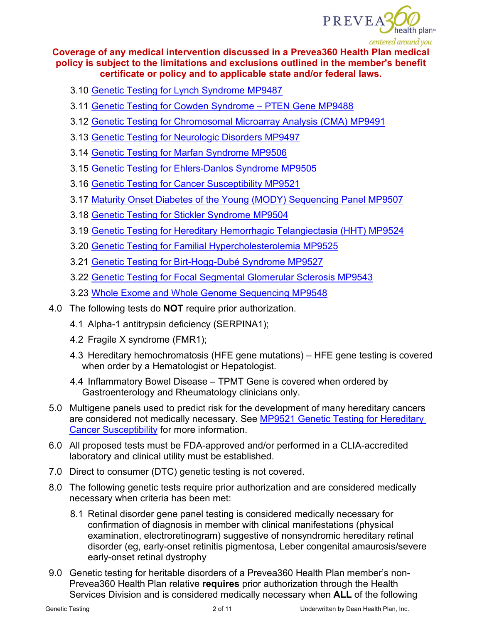

- 3.10 [Genetic Testing for Lynch Syndrome MP9487](https://www.prevea360.com/DocumentLibrary/PDF/Medical-Policies/Genetic-Testing-for-Lynch-Syndrome-9487)
- 3.11 [Genetic Testing for Cowden Syndrome PTEN Gene MP9488](https://www.prevea360.com/DocumentLibrary/PDF/Medical-Policies/Genetic-Testing-for-Cowden-Syndrome-PTEN-Hamartoma)
- 3.12 [Genetic Testing for Chromosomal Microarray Analysis \(CMA\) MP9491](https://www.prevea360.com/DocumentLibrary/PDF/Medical-Policies/Genetic-Testing-for-Chromosomal-Microarray-Analysi)
- 3.13 [Genetic Testing for Neurologic Disorders MP9497](https://www.prevea360.com/DocumentLibrary/PDF/Medical-Policies/Genetic-Testing-for-Neurologic-Disorders-9497)
- 3.14 [Genetic Testing for Marfan Syndrome MP9506](https://www.prevea360.com/DocumentLibrary/PDF/Medical-Policies/Genetic-Testing-for-Marfan-Syndrome-9506)
- 3.15 [Genetic Testing for Ehlers-Danlos Syndrome MP9505](https://www.prevea360.com/DocumentLibrary/PDF/Medical-Policies/Genetic-Testing-for-Ehlers-Danlos-Syndrome-(EDS)-9)
- 3.16 [Genetic Testing for Cancer Susceptibility MP9521](https://www.prevea360.com/DocumentLibrary/PDF/Medical-Policies/Genetic-Testing-for-Hereditary-Cancer-Susceptibili)
- 3.17 [Maturity Onset Diabetes of the Young \(MODY\) Sequencing Panel MP9507](https://www.prevea360.com/DocumentLibrary/PDF/Medical-Policies/Maturity-Onset-Diabetes-of-the-Young-(MODY)-Sequen)
- 3.18 [Genetic Testing for Stickler Syndrome MP9504](https://www.prevea360.com/DocumentLibrary/PDF/Medical-Policies/Genetic-Testing-for-Stickler-Syndrome-9504)
- 3.19 [Genetic Testing for Hereditary Hemorrhagic Telangiectasia \(HHT\) MP9524](https://www.prevea360.com/DocumentLibrary/PDF/Medical-Policies/Genetic-Testing-for-Hereditary-Hemorrhagic-Telangi)
- 3.20 [Genetic Testing for Familial Hypercholesterolemia MP9525](https://www.prevea360.com/DocumentLibrary/PDF/Medical-Policies/Genetic-Testing-for-Familial-Hypercholesterolemia)
- 3.21 [Genetic Testing for Birt-Hogg-Dubé Syndrome MP9527](https://www.prevea360.com/DocumentLibrary/PDF/Medical-Policies/Genetic-Testing-for-Birt-Hogg-Dube-Syndrome-9527)
- 3.22 [Genetic Testing for Focal Segmental Glomerular Sclerosis MP9543](https://www.prevea360.com/DocumentLibrary/PDF/Medical-Policies/Genetic-Testing-for-Focal-Segmental-Glomerular-Scl)
- 3.23 [Whole Exome and Whole Genome Sequencing MP9548](https://www.prevea360.com/DocumentLibrary/PDF/Medical-Policies/Whole-Exome-and-Whole-Genome-Sequencing-9548)
- 4.0 The following tests do **NOT** require prior authorization.
	- 4.1 Alpha-1 antitrypsin deficiency (SERPINA1);
	- 4.2 Fragile X syndrome (FMR1);
	- 4.3 Hereditary hemochromatosis (HFE gene mutations) HFE gene testing is covered when order by a Hematologist or Hepatologist.
	- 4.4 Inflammatory Bowel Disease TPMT Gene is covered when ordered by Gastroenterology and Rheumatology clinicians only.
- 5.0 Multigene panels used to predict risk for the development of many hereditary cancers are considered not medically necessary. See MP9521 Genetic Testing for Hereditary [Cancer Susceptibility](https://www.prevea360.com/DocumentLibrary/PDF/Medical-Policies/Genetic-Testing-for-Hereditary-Cancer-Susceptibili) for more information.
- 6.0 All proposed tests must be FDA-approved and/or performed in a CLIA-accredited laboratory and clinical utility must be established.
- 7.0 Direct to consumer (DTC) genetic testing is not covered.
- 8.0 The following genetic tests require prior authorization and are considered medically necessary when criteria has been met:
	- 8.1 Retinal disorder gene panel testing is considered medically necessary for confirmation of diagnosis in member with clinical manifestations (physical examination, electroretinogram) suggestive of nonsyndromic hereditary retinal disorder (eg, early-onset retinitis pigmentosa, Leber congenital amaurosis/severe early-onset retinal dystrophy
- 9.0 Genetic testing for heritable disorders of a Prevea360 Health Plan member's non-Prevea360 Health Plan relative **requires** prior authorization through the Health Services Division and is considered medically necessary when **ALL** of the following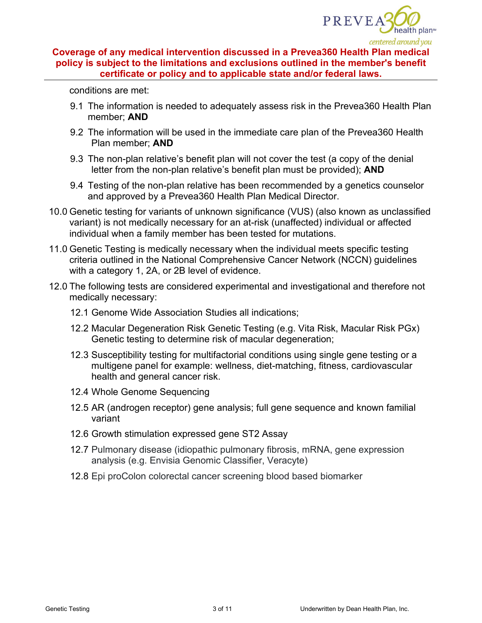

conditions are met:

- 9.1 The information is needed to adequately assess risk in the Prevea360 Health Plan member; **AND**
- 9.2 The information will be used in the immediate care plan of the Prevea360 Health Plan member; **AND**
- 9.3 The non-plan relative's benefit plan will not cover the test (a copy of the denial letter from the non-plan relative's benefit plan must be provided); **AND**
- 9.4 Testing of the non-plan relative has been recommended by a genetics counselor and approved by a Prevea360 Health Plan Medical Director.
- 10.0 Genetic testing for variants of unknown significance (VUS) (also known as unclassified variant) is not medically necessary for an at-risk (unaffected) individual or affected individual when a family member has been tested for mutations.
- 11.0 Genetic Testing is medically necessary when the individual meets specific testing criteria outlined in the National Comprehensive Cancer Network (NCCN) guidelines with a category 1, 2A, or 2B level of evidence.
- 12.0 The following tests are considered experimental and investigational and therefore not medically necessary:
	- 12.1 Genome Wide Association Studies all indications;
	- 12.2 Macular Degeneration Risk Genetic Testing (e.g. Vita Risk, Macular Risk PGx) Genetic testing to determine risk of macular degeneration;
	- 12.3 Susceptibility testing for multifactorial conditions using single gene testing or a multigene panel for example: wellness, diet-matching, fitness, cardiovascular health and general cancer risk.
	- 12.4 Whole Genome Sequencing
	- 12.5 AR (androgen receptor) gene analysis; full gene sequence and known familial variant
	- 12.6 Growth stimulation expressed gene ST2 Assay
	- 12.7 Pulmonary disease (idiopathic pulmonary fibrosis, mRNA, gene expression analysis (e.g. Envisia Genomic Classifier, Veracyte)
	- 12.8 Epi proColon colorectal cancer screening blood based biomarker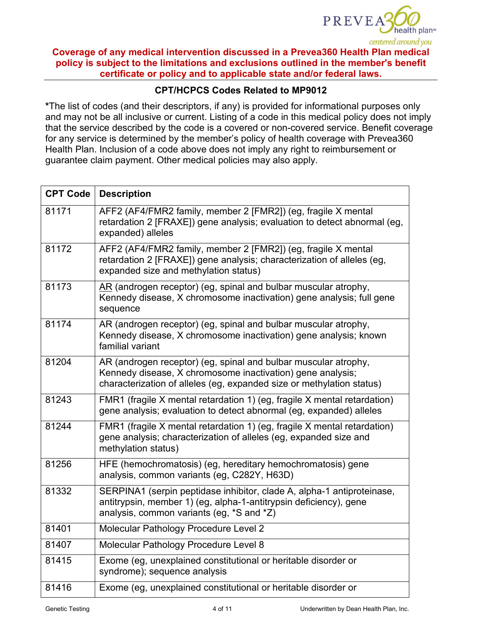

# **CPT/HCPCS Codes Related to MP9012**

**\***The list of codes (and their descriptors, if any) is provided for informational purposes only and may not be all inclusive or current. Listing of a code in this medical policy does not imply that the service described by the code is a covered or non-covered service. Benefit coverage for any service is determined by the member's policy of health coverage with Prevea360 Health Plan. Inclusion of a code above does not imply any right to reimbursement or guarantee claim payment. Other medical policies may also apply.

| <b>CPT Code</b> | <b>Description</b>                                                                                                                                                                                     |  |  |
|-----------------|--------------------------------------------------------------------------------------------------------------------------------------------------------------------------------------------------------|--|--|
| 81171           | AFF2 (AF4/FMR2 family, member 2 [FMR2]) (eg, fragile X mental<br>retardation 2 [FRAXE]) gene analysis; evaluation to detect abnormal (eg,<br>expanded) alleles                                         |  |  |
| 81172           | AFF2 (AF4/FMR2 family, member 2 [FMR2]) (eg, fragile X mental<br>retardation 2 [FRAXE]) gene analysis; characterization of alleles (eg,<br>expanded size and methylation status)                       |  |  |
| 81173           | AR (androgen receptor) (eg, spinal and bulbar muscular atrophy,<br>Kennedy disease, X chromosome inactivation) gene analysis; full gene<br>sequence                                                    |  |  |
| 81174           | AR (androgen receptor) (eg, spinal and bulbar muscular atrophy,<br>Kennedy disease, X chromosome inactivation) gene analysis; known<br>familial variant                                                |  |  |
| 81204           | AR (androgen receptor) (eg, spinal and bulbar muscular atrophy,<br>Kennedy disease, X chromosome inactivation) gene analysis;<br>characterization of alleles (eg, expanded size or methylation status) |  |  |
| 81243           | FMR1 (fragile X mental retardation 1) (eg, fragile X mental retardation)<br>gene analysis; evaluation to detect abnormal (eg, expanded) alleles                                                        |  |  |
| 81244           | FMR1 (fragile X mental retardation 1) (eg, fragile X mental retardation)<br>gene analysis; characterization of alleles (eg, expanded size and<br>methylation status)                                   |  |  |
| 81256           | HFE (hemochromatosis) (eg, hereditary hemochromatosis) gene<br>analysis, common variants (eg, C282Y, H63D)                                                                                             |  |  |
| 81332           | SERPINA1 (serpin peptidase inhibitor, clade A, alpha-1 antiproteinase,<br>antitrypsin, member 1) (eg, alpha-1-antitrypsin deficiency), gene<br>analysis, common variants (eg, *S and *Z)               |  |  |
| 81401           | Molecular Pathology Procedure Level 2                                                                                                                                                                  |  |  |
| 81407           | Molecular Pathology Procedure Level 8                                                                                                                                                                  |  |  |
| 81415           | Exome (eg, unexplained constitutional or heritable disorder or<br>syndrome); sequence analysis                                                                                                         |  |  |
| 81416           | Exome (eg, unexplained constitutional or heritable disorder or                                                                                                                                         |  |  |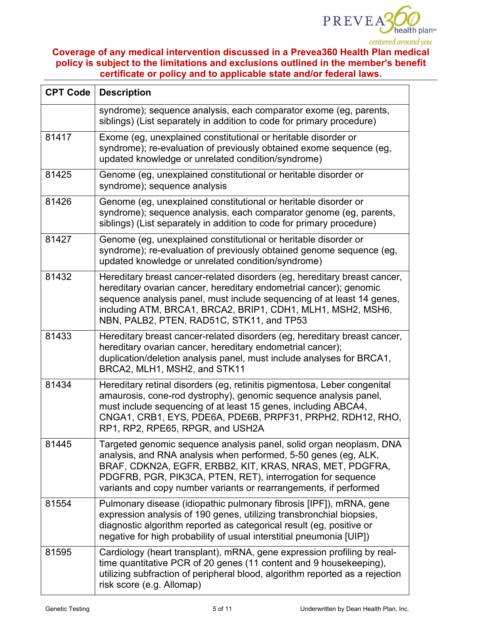

| <b>CPT Code</b> | <b>Description</b>                                                                                                                                                                                                                                                                                                                     |  |  |
|-----------------|----------------------------------------------------------------------------------------------------------------------------------------------------------------------------------------------------------------------------------------------------------------------------------------------------------------------------------------|--|--|
|                 | syndrome); sequence analysis, each comparator exome (eg, parents,<br>siblings) (List separately in addition to code for primary procedure)                                                                                                                                                                                             |  |  |
| 81417           | Exome (eg, unexplained constitutional or heritable disorder or<br>syndrome); re-evaluation of previously obtained exome sequence (eg,<br>updated knowledge or unrelated condition/syndrome)                                                                                                                                            |  |  |
| 81425           | Genome (eg, unexplained constitutional or heritable disorder or<br>syndrome); sequence analysis                                                                                                                                                                                                                                        |  |  |
| 81426           | Genome (eg, unexplained constitutional or heritable disorder or<br>syndrome); sequence analysis, each comparator genome (eg, parents,<br>siblings) (List separately in addition to code for primary procedure)                                                                                                                         |  |  |
| 81427           | Genome (eg, unexplained constitutional or heritable disorder or<br>syndrome); re-evaluation of previously obtained genome sequence (eg,<br>updated knowledge or unrelated condition/syndrome)                                                                                                                                          |  |  |
| 81432           | Hereditary breast cancer-related disorders (eg, hereditary breast cancer,<br>hereditary ovarian cancer, hereditary endometrial cancer); genomic<br>sequence analysis panel, must include sequencing of at least 14 genes,<br>including ATM, BRCA1, BRCA2, BRIP1, CDH1, MLH1, MSH2, MSH6,<br>NBN, PALB2, PTEN, RAD51C, STK11, and TP53  |  |  |
| 81433           | Hereditary breast cancer-related disorders (eg, hereditary breast cancer,<br>hereditary ovarian cancer, hereditary endometrial cancer);<br>duplication/deletion analysis panel, must include analyses for BRCA1,<br>BRCA2, MLH1, MSH2, and STK11                                                                                       |  |  |
| 81434           | Hereditary retinal disorders (eg, retinitis pigmentosa, Leber congenital<br>amaurosis, cone-rod dystrophy), genomic sequence analysis panel,<br>must include sequencing of at least 15 genes, including ABCA4,<br>CNGA1, CRB1, EYS, PDE6A, PDE6B, PRPF31, PRPH2, RDH12, RHO,<br>RP1, RP2, RPE65, RPGR, and USH2A                       |  |  |
| 81445           | Targeted genomic sequence analysis panel, solid organ neoplasm, DNA<br>analysis, and RNA analysis when performed, 5-50 genes (eg, ALK,<br>BRAF, CDKN2A, EGFR, ERBB2, KIT, KRAS, NRAS, MET, PDGFRA,<br>PDGFRB, PGR, PIK3CA, PTEN, RET), interrogation for sequence<br>variants and copy number variants or rearrangements, if performed |  |  |
| 81554           | Pulmonary disease (idiopathic pulmonary fibrosis [IPF]), mRNA, gene<br>expression analysis of 190 genes, utilizing transbronchial biopsies,<br>diagnostic algorithm reported as categorical result (eg, positive or<br>negative for high probability of usual interstitial pneumonia [UIP])                                            |  |  |
| 81595           | Cardiology (heart transplant), mRNA, gene expression profiling by real-<br>time quantitative PCR of 20 genes (11 content and 9 housekeeping),<br>utilizing subfraction of peripheral blood, algorithm reported as a rejection<br>risk score (e.g. Allomap)                                                                             |  |  |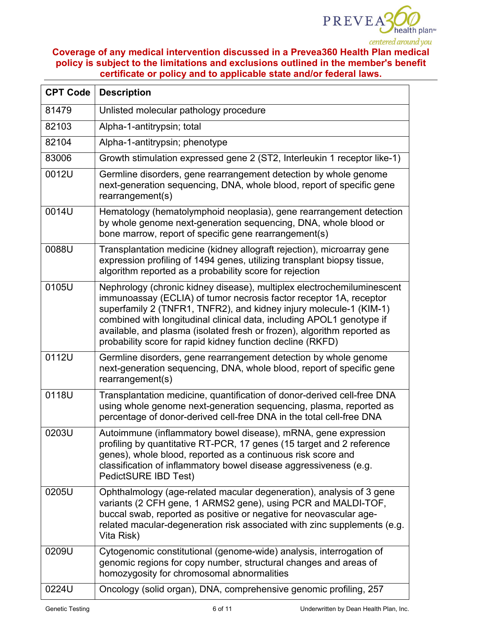

| <b>CPT Code</b> | <b>Description</b>                                                                                                                                                                                                                                                                                                                                                                                                                   |  |  |
|-----------------|--------------------------------------------------------------------------------------------------------------------------------------------------------------------------------------------------------------------------------------------------------------------------------------------------------------------------------------------------------------------------------------------------------------------------------------|--|--|
| 81479           | Unlisted molecular pathology procedure                                                                                                                                                                                                                                                                                                                                                                                               |  |  |
| 82103           | Alpha-1-antitrypsin; total                                                                                                                                                                                                                                                                                                                                                                                                           |  |  |
| 82104           | Alpha-1-antitrypsin; phenotype                                                                                                                                                                                                                                                                                                                                                                                                       |  |  |
| 83006           | Growth stimulation expressed gene 2 (ST2, Interleukin 1 receptor like-1)                                                                                                                                                                                                                                                                                                                                                             |  |  |
| 0012U           | Germline disorders, gene rearrangement detection by whole genome<br>next-generation sequencing, DNA, whole blood, report of specific gene<br>rearrangement(s)                                                                                                                                                                                                                                                                        |  |  |
| 0014U           | Hematology (hematolymphoid neoplasia), gene rearrangement detection<br>by whole genome next-generation sequencing, DNA, whole blood or<br>bone marrow, report of specific gene rearrangement(s)                                                                                                                                                                                                                                      |  |  |
| 0088U           | Transplantation medicine (kidney allograft rejection), microarray gene<br>expression profiling of 1494 genes, utilizing transplant biopsy tissue,<br>algorithm reported as a probability score for rejection                                                                                                                                                                                                                         |  |  |
| 0105U           | Nephrology (chronic kidney disease), multiplex electrochemiluminescent<br>immunoassay (ECLIA) of tumor necrosis factor receptor 1A, receptor<br>superfamily 2 (TNFR1, TNFR2), and kidney injury molecule-1 (KIM-1)<br>combined with longitudinal clinical data, including APOL1 genotype if<br>available, and plasma (isolated fresh or frozen), algorithm reported as<br>probability score for rapid kidney function decline (RKFD) |  |  |
| 0112U           | Germline disorders, gene rearrangement detection by whole genome<br>next-generation sequencing, DNA, whole blood, report of specific gene<br>rearrangement(s)                                                                                                                                                                                                                                                                        |  |  |
| 0118U           | Transplantation medicine, quantification of donor-derived cell-free DNA<br>using whole genome next-generation sequencing, plasma, reported as<br>percentage of donor-derived cell-free DNA in the total cell-free DNA                                                                                                                                                                                                                |  |  |
| 0203U           | Autoimmune (inflammatory bowel disease), mRNA, gene expression<br>profiling by quantitative RT-PCR, 17 genes (15 target and 2 reference<br>genes), whole blood, reported as a continuous risk score and<br>classification of inflammatory bowel disease aggressiveness (e.g.<br>PedictSURE IBD Test)                                                                                                                                 |  |  |
| 0205U           | Ophthalmology (age-related macular degeneration), analysis of 3 gene<br>variants (2 CFH gene, 1 ARMS2 gene), using PCR and MALDI-TOF,<br>buccal swab, reported as positive or negative for neovascular age-<br>related macular-degeneration risk associated with zinc supplements (e.g.<br>Vita Risk)                                                                                                                                |  |  |
| 0209U           | Cytogenomic constitutional (genome-wide) analysis, interrogation of<br>genomic regions for copy number, structural changes and areas of<br>homozygosity for chromosomal abnormalities                                                                                                                                                                                                                                                |  |  |
| 0224U           | Oncology (solid organ), DNA, comprehensive genomic profiling, 257                                                                                                                                                                                                                                                                                                                                                                    |  |  |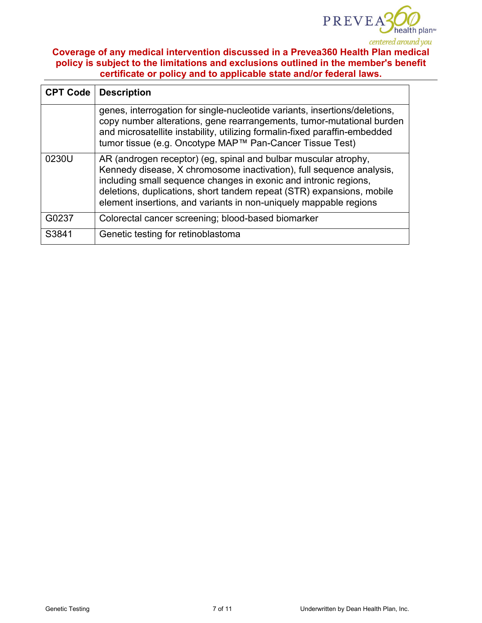

| <b>CPT Code</b> | <b>Description</b>                                                                                                                                                                                                                                                                                                                                        |  |  |
|-----------------|-----------------------------------------------------------------------------------------------------------------------------------------------------------------------------------------------------------------------------------------------------------------------------------------------------------------------------------------------------------|--|--|
|                 | genes, interrogation for single-nucleotide variants, insertions/deletions,<br>copy number alterations, gene rearrangements, tumor-mutational burden<br>and microsatellite instability, utilizing formalin-fixed paraffin-embedded<br>tumor tissue (e.g. Oncotype MAP™ Pan-Cancer Tissue Test)                                                             |  |  |
| 0230U           | AR (androgen receptor) (eg, spinal and bulbar muscular atrophy,<br>Kennedy disease, X chromosome inactivation), full sequence analysis,<br>including small sequence changes in exonic and intronic regions,<br>deletions, duplications, short tandem repeat (STR) expansions, mobile<br>element insertions, and variants in non-uniquely mappable regions |  |  |
| G0237           | Colorectal cancer screening; blood-based biomarker                                                                                                                                                                                                                                                                                                        |  |  |
| S3841           | Genetic testing for retinoblastoma                                                                                                                                                                                                                                                                                                                        |  |  |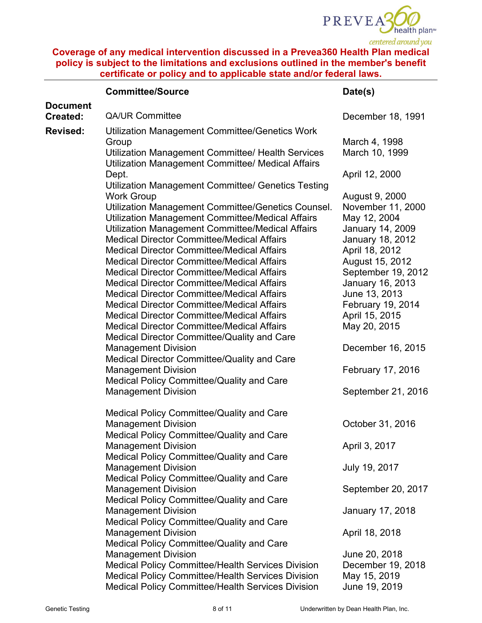

|                             | <b>Committee/Source</b>                                                                                                                                                                                                                                                                                                                                                                                                                                                                                                                                                                                                                                                                                                                                                                                                                                                                                                                   | Date(s)                                                                                                                                                                                                                                                                                             |
|-----------------------------|-------------------------------------------------------------------------------------------------------------------------------------------------------------------------------------------------------------------------------------------------------------------------------------------------------------------------------------------------------------------------------------------------------------------------------------------------------------------------------------------------------------------------------------------------------------------------------------------------------------------------------------------------------------------------------------------------------------------------------------------------------------------------------------------------------------------------------------------------------------------------------------------------------------------------------------------|-----------------------------------------------------------------------------------------------------------------------------------------------------------------------------------------------------------------------------------------------------------------------------------------------------|
| <b>Document</b><br>Created: | <b>QA/UR Committee</b>                                                                                                                                                                                                                                                                                                                                                                                                                                                                                                                                                                                                                                                                                                                                                                                                                                                                                                                    | December 18, 1991                                                                                                                                                                                                                                                                                   |
|                             |                                                                                                                                                                                                                                                                                                                                                                                                                                                                                                                                                                                                                                                                                                                                                                                                                                                                                                                                           |                                                                                                                                                                                                                                                                                                     |
| <b>Revised:</b>             | Utilization Management Committee/Genetics Work<br>Group<br>Utilization Management Committee/ Health Services                                                                                                                                                                                                                                                                                                                                                                                                                                                                                                                                                                                                                                                                                                                                                                                                                              | March 4, 1998<br>March 10, 1999                                                                                                                                                                                                                                                                     |
|                             | Utilization Management Committee/ Medical Affairs<br>Dept.                                                                                                                                                                                                                                                                                                                                                                                                                                                                                                                                                                                                                                                                                                                                                                                                                                                                                | April 12, 2000                                                                                                                                                                                                                                                                                      |
|                             | Utilization Management Committee/ Genetics Testing<br><b>Work Group</b><br>Utilization Management Committee/Genetics Counsel.<br>Utilization Management Committee/Medical Affairs<br>Utilization Management Committee/Medical Affairs<br><b>Medical Director Committee/Medical Affairs</b><br><b>Medical Director Committee/Medical Affairs</b><br><b>Medical Director Committee/Medical Affairs</b><br><b>Medical Director Committee/Medical Affairs</b><br><b>Medical Director Committee/Medical Affairs</b><br><b>Medical Director Committee/Medical Affairs</b><br><b>Medical Director Committee/Medical Affairs</b><br><b>Medical Director Committee/Medical Affairs</b><br><b>Medical Director Committee/Medical Affairs</b><br>Medical Director Committee/Quality and Care<br><b>Management Division</b><br>Medical Director Committee/Quality and Care<br><b>Management Division</b><br>Medical Policy Committee/Quality and Care | August 9, 2000<br>November 11, 2000<br>May 12, 2004<br><b>January 14, 2009</b><br>January 18, 2012<br>April 18, 2012<br>August 15, 2012<br>September 19, 2012<br>January 16, 2013<br>June 13, 2013<br>February 19, 2014<br>April 15, 2015<br>May 20, 2015<br>December 16, 2015<br>February 17, 2016 |
|                             | <b>Management Division</b>                                                                                                                                                                                                                                                                                                                                                                                                                                                                                                                                                                                                                                                                                                                                                                                                                                                                                                                | September 21, 2016                                                                                                                                                                                                                                                                                  |
|                             | Medical Policy Committee/Quality and Care<br><b>Management Division</b><br>Medical Policy Committee/Quality and Care                                                                                                                                                                                                                                                                                                                                                                                                                                                                                                                                                                                                                                                                                                                                                                                                                      | October 31, 2016                                                                                                                                                                                                                                                                                    |
|                             | <b>Management Division</b><br>Medical Policy Committee/Quality and Care                                                                                                                                                                                                                                                                                                                                                                                                                                                                                                                                                                                                                                                                                                                                                                                                                                                                   | April 3, 2017                                                                                                                                                                                                                                                                                       |
|                             | <b>Management Division</b><br>Medical Policy Committee/Quality and Care                                                                                                                                                                                                                                                                                                                                                                                                                                                                                                                                                                                                                                                                                                                                                                                                                                                                   | July 19, 2017                                                                                                                                                                                                                                                                                       |
|                             | <b>Management Division</b><br>Medical Policy Committee/Quality and Care                                                                                                                                                                                                                                                                                                                                                                                                                                                                                                                                                                                                                                                                                                                                                                                                                                                                   | September 20, 2017                                                                                                                                                                                                                                                                                  |
|                             | <b>Management Division</b><br>Medical Policy Committee/Quality and Care                                                                                                                                                                                                                                                                                                                                                                                                                                                                                                                                                                                                                                                                                                                                                                                                                                                                   | January 17, 2018                                                                                                                                                                                                                                                                                    |
|                             | <b>Management Division</b><br>Medical Policy Committee/Quality and Care                                                                                                                                                                                                                                                                                                                                                                                                                                                                                                                                                                                                                                                                                                                                                                                                                                                                   | April 18, 2018                                                                                                                                                                                                                                                                                      |
|                             | <b>Management Division</b><br><b>Medical Policy Committee/Health Services Division</b><br><b>Medical Policy Committee/Health Services Division</b><br><b>Medical Policy Committee/Health Services Division</b>                                                                                                                                                                                                                                                                                                                                                                                                                                                                                                                                                                                                                                                                                                                            | June 20, 2018<br>December 19, 2018<br>May 15, 2019<br>June 19, 2019                                                                                                                                                                                                                                 |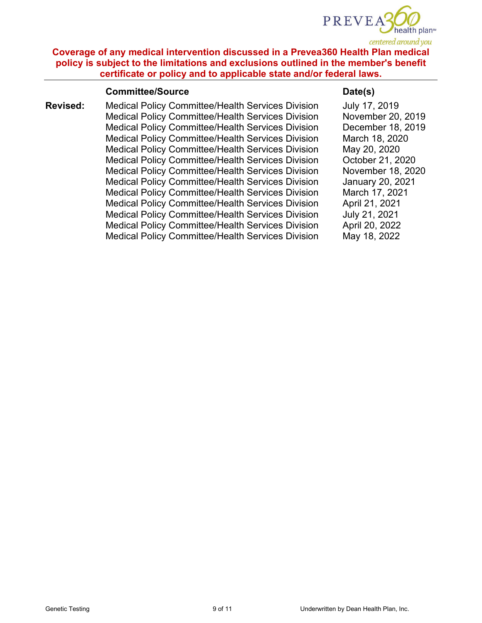

### **Committee/Source Date(s)**

**Revised:** Medical Policy Committee/Health Services Division Medical Policy Committee/Health Services Division Medical Policy Committee/Health Services Division Medical Policy Committee/Health Services Division Medical Policy Committee/Health Services Division Medical Policy Committee/Health Services Division Medical Policy Committee/Health Services Division Medical Policy Committee/Health Services Division Medical Policy Committee/Health Services Division Medical Policy Committee/Health Services Division Medical Policy Committee/Health Services Division Medical Policy Committee/Health Services Division Medical Policy Committee/Health Services Division

July 17, 2019 November 20, 2019 December 18, 2019 March 18, 2020 May 20, 2020 October 21, 2020 November 18, 2020 January 20, 2021 March 17, 2021 April 21, 2021 July 21, 2021 April 20, 2022 May 18, 2022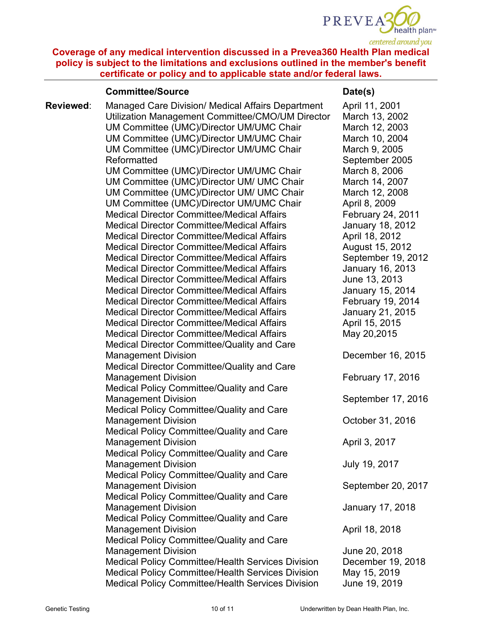

### **Committee/Source Date(s)**

**Reviewed**: Managed Care Division/ Medical Affairs Department Utilization Management Committee/CMO/UM Director UM Committee (UMC)/Director UM/UMC Chair UM Committee (UMC)/Director UM/UMC Chair UM Committee (UMC)/Director UM/UMC Chair Reformatted UM Committee (UMC)/Director UM/UMC Chair UM Committee (UMC)/Director UM/ UMC Chair UM Committee (UMC)/Director UM/ UMC Chair UM Committee (UMC)/Director UM/UMC Chair Medical Director Committee/Medical Affairs Medical Director Committee/Medical Affairs Medical Director Committee/Medical Affairs Medical Director Committee/Medical Affairs Medical Director Committee/Medical Affairs Medical Director Committee/Medical Affairs Medical Director Committee/Medical Affairs Medical Director Committee/Medical Affairs Medical Director Committee/Medical Affairs Medical Director Committee/Medical Affairs Medical Director Committee/Medical Affairs Medical Director Committee/Medical Affairs Medical Director Committee/Quality and Care Management Division Medical Director Committee/Quality and Care Management Division Medical Policy Committee/Quality and Care Management Division Medical Policy Committee/Quality and Care Management Division Medical Policy Committee/Quality and Care Management Division Medical Policy Committee/Quality and Care Management Division Medical Policy Committee/Quality and Care Management Division Medical Policy Committee/Quality and Care Management Division Medical Policy Committee/Quality and Care Management Division Medical Policy Committee/Quality and Care Management Division Medical Policy Committee/Health Services Division Medical Policy Committee/Health Services Division Medical Policy Committee/Health Services Division April 11, 2001 March 13, 2002 March 12, 2003 March 10, 2004 March 9, 2005 September 2005 March 8, 2006 March 14, 2007 March 12, 2008 April 8, 2009 February 24, 2011 January 18, 2012 April 18, 2012 August 15, 2012 September 19, 2012 January 16, 2013 June 13, 2013 January 15, 2014 February 19, 2014 January 21, 2015 April 15, 2015 May 20,2015 December 16, 2015 February 17, 2016 September 17, 2016 October 31, 2016 April 3, 2017 July 19, 2017 September 20, 2017 January 17, 2018 April 18, 2018 June 20, 2018 December 19, 2018 May 15, 2019 June 19, 2019